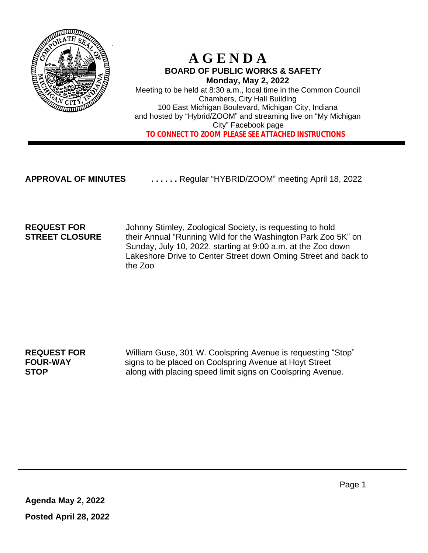

## **A G E N D A BOARD OF PUBLIC WORKS & SAFETY Monday, May 2, 2022**

Meeting to be held at 8:30 a.m., local time in the Common Council Chambers, City Hall Building 100 East Michigan Boulevard, Michigan City, Indiana and hosted by "Hybrid/ZOOM" and streaming live on "My Michigan City" Facebook page  **TO CONNECT TO ZOOM PLEASE SEE ATTACHED INSTRUCTIONS**

**APPROVAL OF MINUTES . . . . . .** Regular "HYBRID/ZOOM" meeting April 18, 2022

**REQUEST FOR** Johnny Stimley, Zoological Society, is requesting to hold **STREET CLOSURE** their Annual "Running Wild for the Washington Park Zoo 5K" on Sunday, July 10, 2022, starting at 9:00 a.m. at the Zoo down Lakeshore Drive to Center Street down Oming Street and back to the Zoo

**REQUEST FOR** William Guse, 301 W. Coolspring Avenue is requesting "Stop" **FOUR-WAY** signs to be placed on Coolspring Avenue at Hoyt Street **STOP** along with placing speed limit signs on Coolspring Avenue.

**Agenda May 2, 2022 Posted April 28, 2022**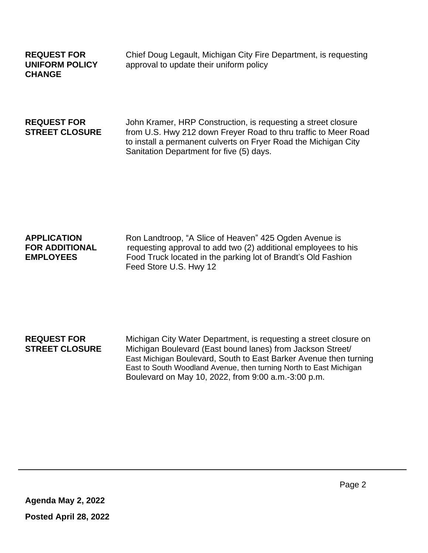**CHANGE**

**REQUEST FOR** Chief Doug Legault, Michigan City Fire Department, is requesting **UNIFORM POLICY** approval to update their uniform policy

**REQUEST FOR** John Kramer, HRP Construction, is requesting a street closure **STREET CLOSURE** from U.S. Hwy 212 down Freyer Road to thru traffic to Meer Road to install a permanent culverts on Fryer Road the Michigan City Sanitation Department for five (5) days.

### **APPLICATION** Ron Landtroop, "A Slice of Heaven" 425 Ogden Avenue is **FOR ADDITIONAL** requesting approval to add two (2) additional employees to his<br>**EMPLOYEES** Food Truck located in the parking lot of Brandt's Old Fashion Food Truck located in the parking lot of Brandt's Old Fashion Feed Store U.S. Hwy 12

### **REQUEST FOR** Michigan City Water Department, is requesting a street closure on **STREET CLOSURE** Michigan Boulevard (East bound lanes) from Jackson Street/ East Michigan Boulevard, South to East Barker Avenue then turning East to South Woodland Avenue, then turning North to East Michigan Boulevard on May 10, 2022, from 9:00 a.m.-3:00 p.m.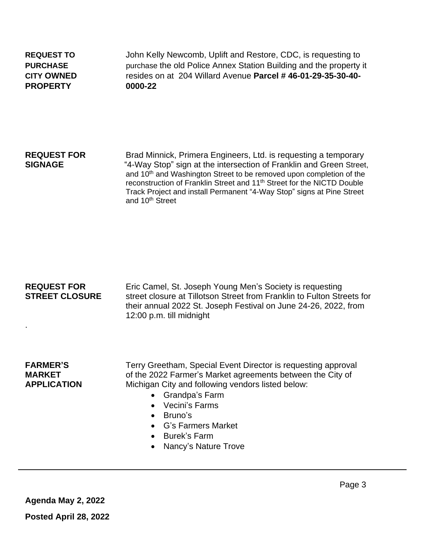**PROPERTY 0000-22**

**REQUEST TO** John Kelly Newcomb, Uplift and Restore, CDC, is requesting to **PURCHASE purchase the old Police Annex Station Building and the property it CITY OWNED** resides on at204 Willard Avenue **Parcel # 46-01-29-35-30-40-**

**REQUEST FOR** Brad Minnick, Primera Engineers, Ltd. is requesting a temporary **SIGNAGE** "4-Way Stop" sign at the intersection of Franklin and Green Street, and 10<sup>th</sup> and Washington Street to be removed upon completion of the reconstruction of Franklin Street and 11th Street for the NICTD Double Track Project and install Permanent "4-Way Stop" signs at Pine Street and 10<sup>th</sup> Street

**REQUEST FOR** Eric Camel, St. Joseph Young Men's Society is requesting **STREET CLOSURE** street closure at Tillotson Street from Franklin to Fulton Streets for their annual 2022 St. Joseph Festival on June 24-26, 2022, from 12:00 p.m. till midnight

.

**FARMER'S** Terry Greetham, Special Event Director is requesting approval **MARKET** of the 2022 Farmer's Market agreements between the City of **APPLICATION** Michigan City and following vendors listed below:

- Grandpa's Farm
- Vecini's Farms
- Bruno's
- G's Farmers Market
- Burek's Farm
- Nancy's Nature Trove

**Agenda May 2, 2022**

**Posted April 28, 2022**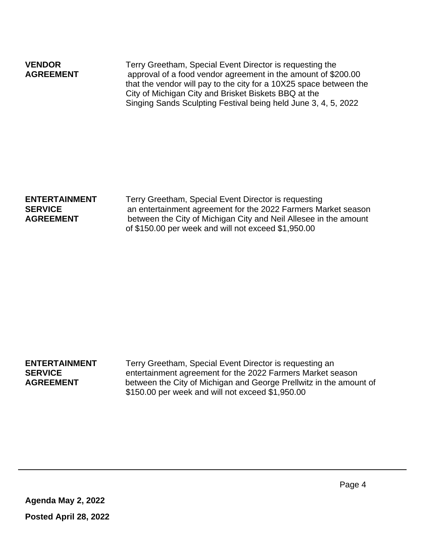| <b>VENDOR</b><br><b>AGREEMENT</b> | Terry Greetham, Special Event Director is requesting the<br>approval of a food vendor agreement in the amount of \$200.00<br>that the vendor will pay to the city for a 10X25 space between the |
|-----------------------------------|-------------------------------------------------------------------------------------------------------------------------------------------------------------------------------------------------|
|                                   | City of Michigan City and Brisket Biskets BBQ at the                                                                                                                                            |
|                                   | Singing Sands Sculpting Festival being held June 3, 4, 5, 2022                                                                                                                                  |

| <b>ENTERTAINMENT</b> | Terry Greetham, Special Event Director is requesting             |  |  |  |
|----------------------|------------------------------------------------------------------|--|--|--|
|                      |                                                                  |  |  |  |
| <b>SERVICE</b>       | an entertainment agreement for the 2022 Farmers Market season    |  |  |  |
| <b>AGREEMENT</b>     | between the City of Michigan City and Neil Allesee in the amount |  |  |  |
|                      | of \$150.00 per week and will not exceed \$1,950.00              |  |  |  |

**ENTERTAINMENT** Terry Greetham, Special Event Director is requesting an **SERVICE** entertainment agreement for the 2022 Farmers Market season<br>**AGREEMENT** between the City of Michigan and George Prellwitz in the amou between the City of Michigan and George Prellwitz in the amount of \$150.00 per week and will not exceed \$1,950.00

**Agenda May 2, 2022 Posted April 28, 2022**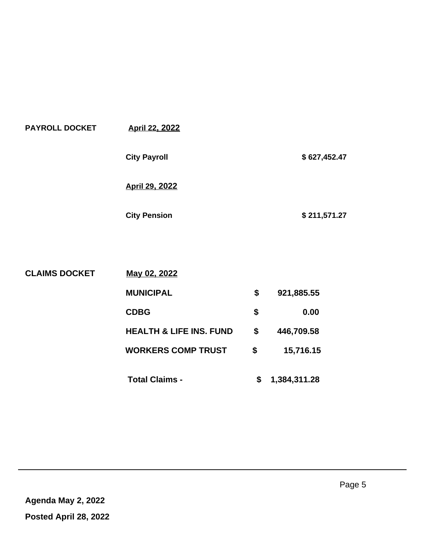| <b>PAYROLL DOCKET</b> | <b>April 22, 2022</b> |              |
|-----------------------|-----------------------|--------------|
|                       | <b>City Payroll</b>   | \$627,452.47 |
|                       | <b>April 29, 2022</b> |              |
|                       | <b>City Pension</b>   | \$211,571.27 |

| <b>CLAIMS DOCKET</b> | May 02, 2022                       |                    |
|----------------------|------------------------------------|--------------------|
|                      | <b>MUNICIPAL</b>                   | \$<br>921,885.55   |
|                      | <b>CDBG</b>                        | \$<br>0.00         |
|                      | <b>HEALTH &amp; LIFE INS. FUND</b> | \$<br>446,709.58   |
|                      | <b>WORKERS COMP TRUST</b>          | \$<br>15,716.15    |
|                      | <b>Total Claims -</b>              | \$<br>1,384,311.28 |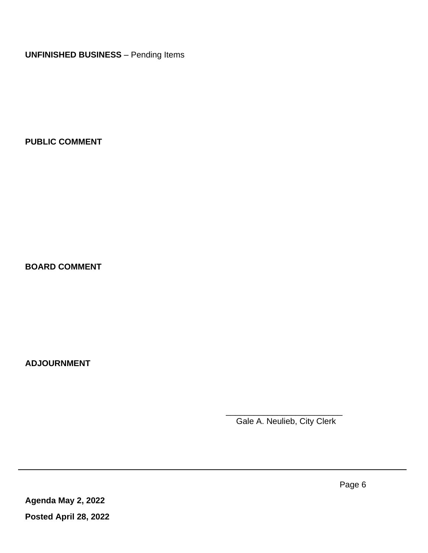**UNFINISHED BUSINESS** – Pending Items

**PUBLIC COMMENT**

**BOARD COMMENT**

**ADJOURNMENT**

 $\frac{1}{2}$  , and the set of the set of the set of the set of the set of the set of the set of the set of the set of the set of the set of the set of the set of the set of the set of the set of the set of the set of the set Gale A. Neulieb, City Clerk

**Agenda May 2, 2022 Posted April 28, 2022**

 $\hat{\boldsymbol{\alpha}}$